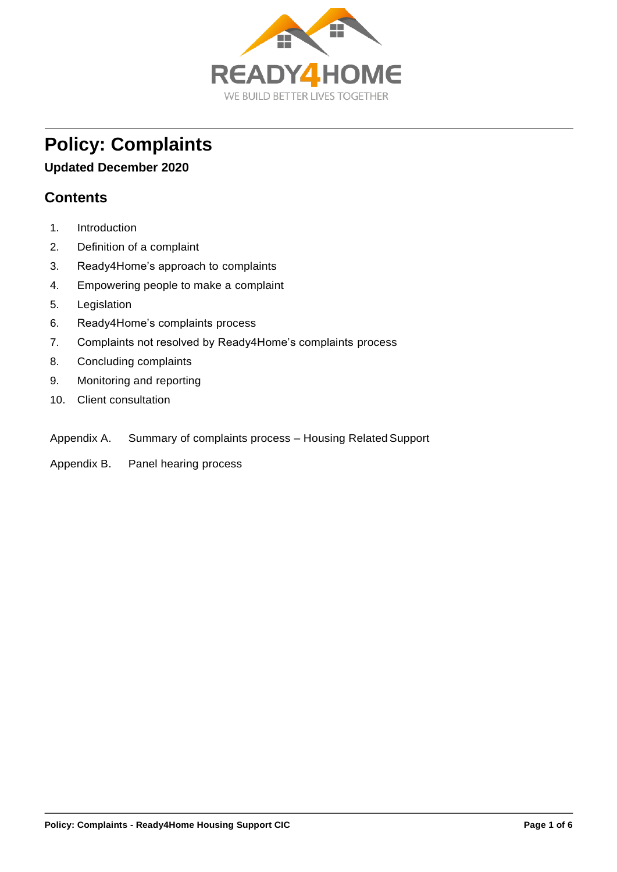

# **Policy: Complaints**

#### **Updated December 2020**

# **Contents**

- 1. Introduction
- 2. Definition of a complaint
- 3. Ready4Home's approach to complaints
- 4. Empowering people to make a complaint
- 5. Legislation
- 6. Ready4Home's complaints process
- 7. Complaints not resolved by Ready4Home's complaints process
- 8. Concluding complaints
- 9. Monitoring and reporting
- 10. Client consultation
- Appendix A. Summary of complaints process Housing Related Support
- Appendix B. Panel hearing process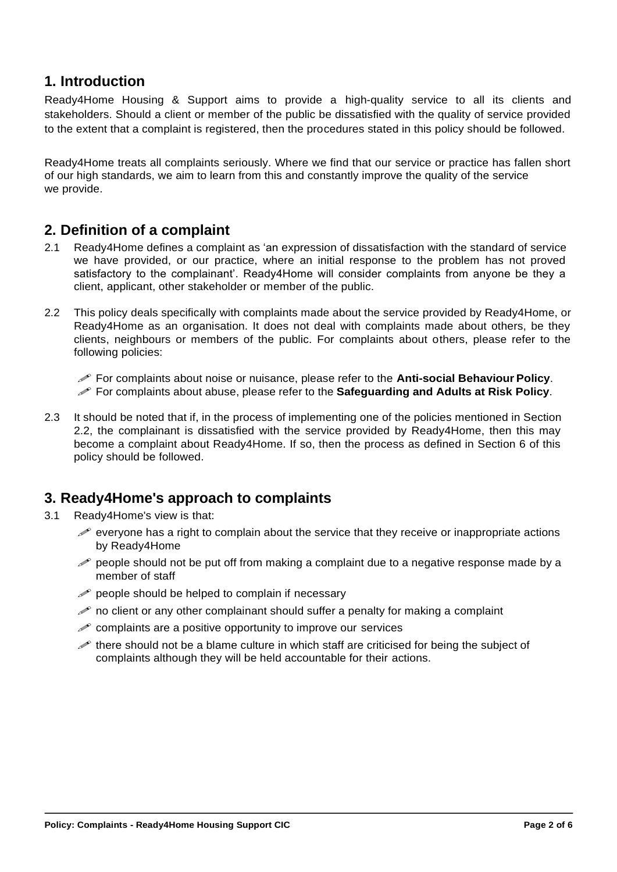#### **1. Introduction**

Ready4Home Housing & Support aims to provide a high-quality service to all its clients and stakeholders. Should a client or member of the public be dissatisfied with the quality of service provided to the extent that a complaint is registered, then the procedures stated in this policy should be followed.

Ready4Home treats all complaints seriously. Where we find that our service or practice has fallen short of our high standards, we aim to learn from this and constantly improve the quality of the service we provide.

#### **2. Definition of a complaint**

- 2.1 Ready4Home defines a complaint as 'an expression of dissatisfaction with the standard of service we have provided, or our practice, where an initial response to the problem has not proved satisfactory to the complainant'. Ready4Home will consider complaints from anyone be they a client, applicant, other stakeholder or member of the public.
- 2.2 This policy deals specifically with complaints made about the service provided by Ready4Home, or Ready4Home as an organisation. It does not deal with complaints made about others, be they clients, neighbours or members of the public. For complaints about others, please refer to the following policies:

For complaints about noise or nuisance, please refer to the **Anti-social Behaviour Policy**.

- For complaints about abuse, please refer to the **Safeguarding and Adults at Risk Policy**.
- 2.3 It should be noted that if, in the process of implementing one of the policies mentioned in Section 2.2, the complainant is dissatisfied with the service provided by Ready4Home, then this may become a complaint about Ready4Home. If so, then the process as defined in Section 6 of this policy should be followed.

# **3. Ready4Home's approach to complaints**

- 3.1 Ready4Home's view is that:
	- everyone has a right to complain about the service that they receive or inappropriate actions by Ready4Home
	- $\gg$  people should not be put off from making a complaint due to a negative response made by a member of staff
	- $\mathscr P$  people should be helped to complain if necessary
	- no client or any other complainant should suffer a penalty for making a complaint
	- $\mathscr P$  complaints are a positive opportunity to improve our services
	- there should not be a blame culture in which staff are criticised for being the subject of complaints although they will be held accountable for their actions.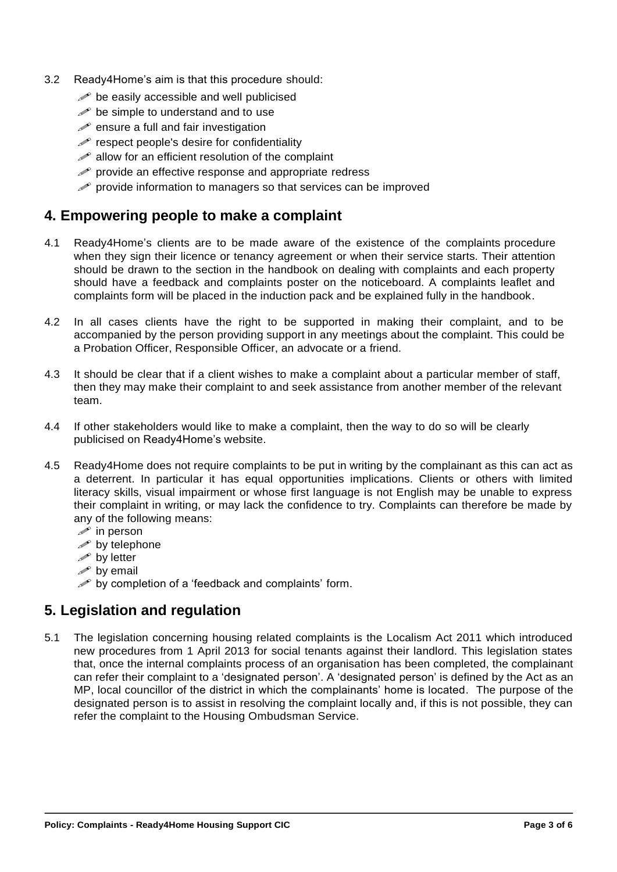- 3.2 Ready4Home's aim is that this procedure should:
	- $\mathscr{P}$  be easily accessible and well publicised
	- $\mathscr{P}$  be simple to understand and to use
	- $\mathscr{P}$  ensure a full and fair investigation
	- $\mathscr P$  respect people's desire for confidentiality
	- $\mathscr{P}$  allow for an efficient resolution of the complaint
	- $\mathscr P$  provide an effective response and appropriate redress
	- $\mathscr P$  provide information to managers so that services can be improved

#### **4. Empowering people to make a complaint**

- 4.1 Ready4Home's clients are to be made aware of the existence of the complaints procedure when they sign their licence or tenancy agreement or when their service starts. Their attention should be drawn to the section in the handbook on dealing with complaints and each property should have a feedback and complaints poster on the noticeboard. A complaints leaflet and complaints form will be placed in the induction pack and be explained fully in the handbook.
- 4.2 In all cases clients have the right to be supported in making their complaint, and to be accompanied by the person providing support in any meetings about the complaint. This could be a Probation Officer, Responsible Officer, an advocate or a friend.
- 4.3 It should be clear that if a client wishes to make a complaint about a particular member of staff, then they may make their complaint to and seek assistance from another member of the relevant team.
- 4.4 If other stakeholders would like to make a complaint, then the way to do so will be clearly publicised on Ready4Home's website.
- 4.5 Ready4Home does not require complaints to be put in writing by the complainant as this can act as a deterrent. In particular it has equal opportunities implications. Clients or others with limited literacy skills, visual impairment or whose first language is not English may be unable to express their complaint in writing, or may lack the confidence to try. Complaints can therefore be made by any of the following means:
	- $\mathscr{P}$  in person
	- $\mathscr{P}$  by telephone
	- $\mathscr{P}$  by letter
	- $\mathscr{P}$  by email
	- $\mathscr{P}$  by completion of a 'feedback and complaints' form.

# **5. Legislation and regulation**

5.1 The legislation concerning housing related complaints is the Localism Act 2011 which introduced new procedures from 1 April 2013 for social tenants against their landlord. This legislation states that, once the internal complaints process of an organisation has been completed, the complainant can refer their complaint to a 'designated person'. A 'designated person' is defined by the Act as an MP, local councillor of the district in which the complainants' home is located. The purpose of the designated person is to assist in resolving the complaint locally and, if this is not possible, they can refer the complaint to the Housing Ombudsman Service.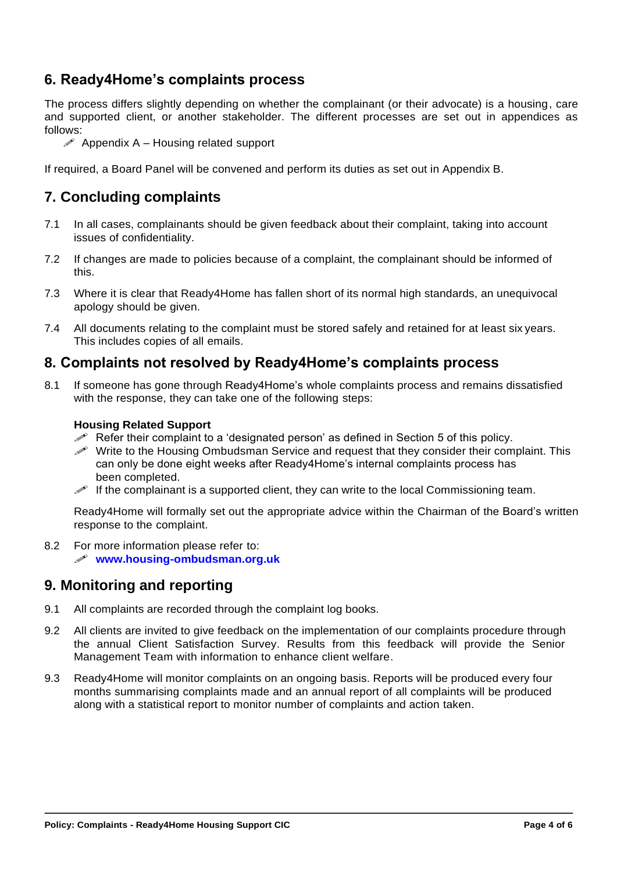# **6. Ready4Home's complaints process**

The process differs slightly depending on whether the complainant (or their advocate) is a housing, care and supported client, or another stakeholder. The different processes are set out in appendices as follows:

 $\mathscr P$  Appendix A – Housing related support

If required, a Board Panel will be convened and perform its duties as set out in Appendix B.

### **7. Concluding complaints**

- 7.1 In all cases, complainants should be given feedback about their complaint, taking into account issues of confidentiality.
- 7.2 If changes are made to policies because of a complaint, the complainant should be informed of this.
- 7.3 Where it is clear that Ready4Home has fallen short of its normal high standards, an unequivocal apology should be given.
- 7.4 All documents relating to the complaint must be stored safely and retained for at least six years. This includes copies of all emails.

#### **8. Complaints not resolved by Ready4Home's complaints process**

8.1 If someone has gone through Ready4Home's whole complaints process and remains dissatisfied with the response, they can take one of the following steps:

#### **Housing Related Support**

- Refer their complaint to a 'designated person' as defined in Section 5 of this policy.
- Write to the Housing Ombudsman Service and request that they consider their complaint. This can only be done eight weeks after Ready4Home's internal complaints process has been completed.
- If the complainant is a supported client, they can write to the local Commissioning team.

Ready4Home will formally set out the appropriate advice within the Chairman of the Board's written response to the complaint.

8.2 For more information please refer to: **[www.housing-ombudsman.org.uk](http://www.housing-ombudsman.org.uk/)**

#### **9. Monitoring and reporting**

- 9.1 All complaints are recorded through the complaint log books.
- 9.2 All clients are invited to give feedback on the implementation of our complaints procedure through the annual Client Satisfaction Survey. Results from this feedback will provide the Senior Management Team with information to enhance client welfare.
- 9.3 Ready4Home will monitor complaints on an ongoing basis. Reports will be produced every four months summarising complaints made and an annual report of all complaints will be produced along with a statistical report to monitor number of complaints and action taken.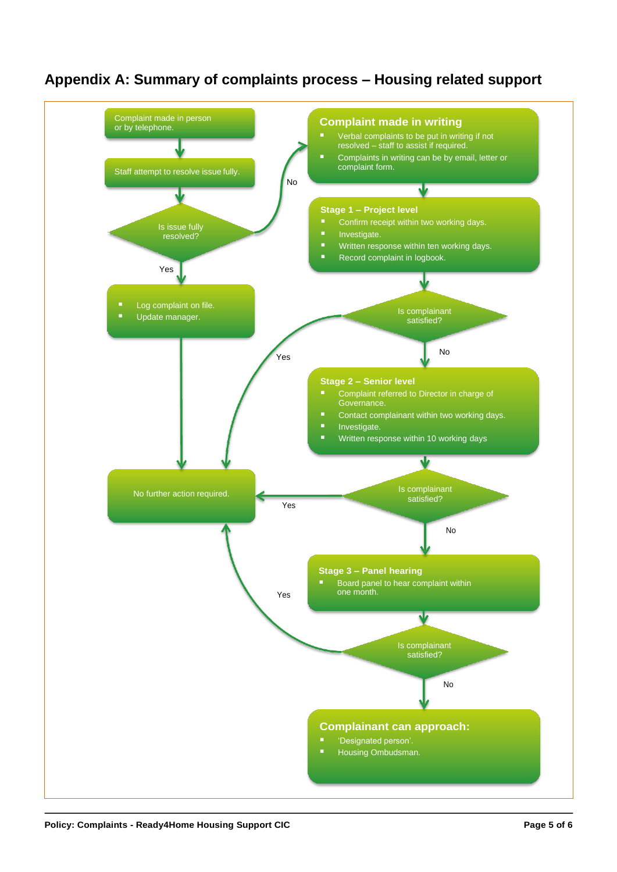# **Appendix A: Summary of complaints process – Housing related support**